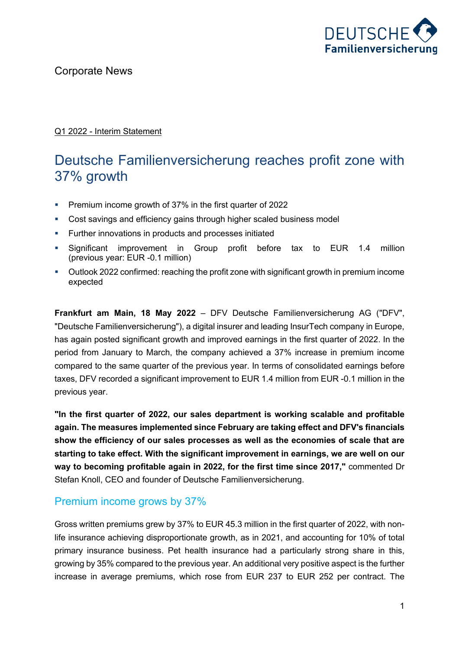

#### Q1 2022 - Interim Statement

# Deutsche Familienversicherung reaches profit zone with 37% growth

- Premium income growth of 37% in the first quarter of 2022
- Cost savings and efficiency gains through higher scaled business model
- **•** Further innovations in products and processes initiated
- § Significant improvement in Group profit before tax to EUR 1.4 million (previous year: EUR -0.1 million)
- § Outlook 2022 confirmed: reaching the profit zone with significant growth in premium income expected

**Frankfurt am Main, 18 May 2022** – DFV Deutsche Familienversicherung AG ("DFV", "Deutsche Familienversicherung"), a digital insurer and leading InsurTech company in Europe, has again posted significant growth and improved earnings in the first quarter of 2022. In the period from January to March, the company achieved a 37% increase in premium income compared to the same quarter of the previous year. In terms of consolidated earnings before taxes, DFV recorded a significant improvement to EUR 1.4 million from EUR -0.1 million in the previous year.

**"In the first quarter of 2022, our sales department is working scalable and profitable again. The measures implemented since February are taking effect and DFV's financials show the efficiency of our sales processes as well as the economies of scale that are starting to take effect. With the significant improvement in earnings, we are well on our way to becoming profitable again in 2022, for the first time since 2017,"** commented Dr Stefan Knoll, CEO and founder of Deutsche Familienversicherung.

#### Premium income grows by 37%

Gross written premiums grew by 37% to EUR 45.3 million in the first quarter of 2022, with nonlife insurance achieving disproportionate growth, as in 2021, and accounting for 10% of total primary insurance business. Pet health insurance had a particularly strong share in this, growing by 35% compared to the previous year. An additional very positive aspect is the further increase in average premiums, which rose from EUR 237 to EUR 252 per contract. The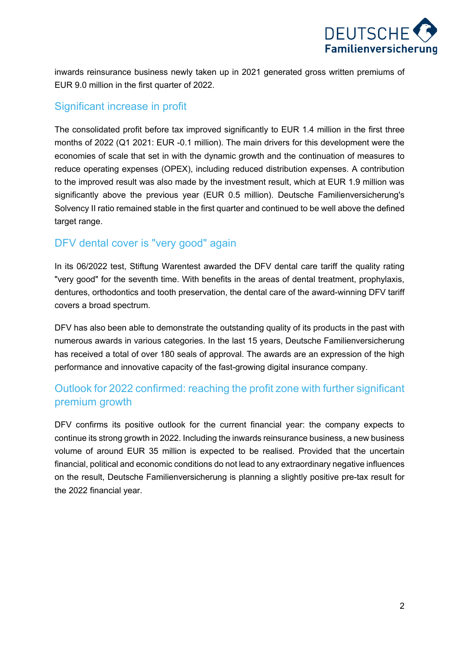

inwards reinsurance business newly taken up in 2021 generated gross written premiums of EUR 9.0 million in the first quarter of 2022.

#### Significant increase in profit

The consolidated profit before tax improved significantly to EUR 1.4 million in the first three months of 2022 (Q1 2021: EUR -0.1 million). The main drivers for this development were the economies of scale that set in with the dynamic growth and the continuation of measures to reduce operating expenses (OPEX), including reduced distribution expenses. A contribution to the improved result was also made by the investment result, which at EUR 1.9 million was significantly above the previous year (EUR 0.5 million). Deutsche Familienversicherung's Solvency II ratio remained stable in the first quarter and continued to be well above the defined target range.

#### DFV dental cover is "very good" again

In its 06/2022 test, Stiftung Warentest awarded the DFV dental care tariff the quality rating "very good" for the seventh time. With benefits in the areas of dental treatment, prophylaxis, dentures, orthodontics and tooth preservation, the dental care of the award-winning DFV tariff covers a broad spectrum.

DFV has also been able to demonstrate the outstanding quality of its products in the past with numerous awards in various categories. In the last 15 years, Deutsche Familienversicherung has received a total of over 180 seals of approval. The awards are an expression of the high performance and innovative capacity of the fast-growing digital insurance company.

### Outlook for 2022 confirmed: reaching the profit zone with further significant premium growth

DFV confirms its positive outlook for the current financial year: the company expects to continue its strong growth in 2022. Including the inwards reinsurance business, a new business volume of around EUR 35 million is expected to be realised. Provided that the uncertain financial, political and economic conditions do not lead to any extraordinary negative influences on the result, Deutsche Familienversicherung is planning a slightly positive pre-tax result for the 2022 financial year.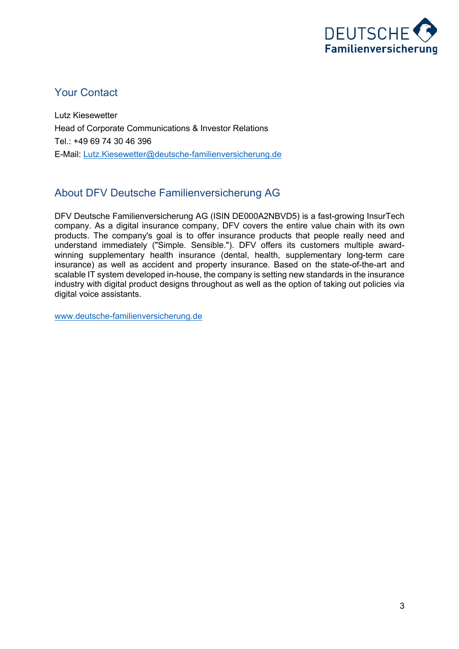

#### Your Contact

Lutz Kiesewetter Head of Corporate Communications & Investor Relations Tel.: +49 69 74 30 46 396 E-Mail: Lutz.Kiesewetter@deutsche-familienversicherung.de

### About DFV Deutsche Familienversicherung AG

DFV Deutsche Familienversicherung AG (ISIN DE000A2NBVD5) is a fast-growing InsurTech company. As a digital insurance company, DFV covers the entire value chain with its own products. The company's goal is to offer insurance products that people really need and understand immediately ("Simple. Sensible."). DFV offers its customers multiple awardwinning supplementary health insurance (dental, health, supplementary long-term care insurance) as well as accident and property insurance. Based on the state-of-the-art and scalable IT system developed in-house, the company is setting new standards in the insurance industry with digital product designs throughout as well as the option of taking out policies via digital voice assistants.

www.deutsche-familienversicherung.de